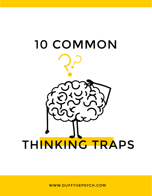

WWW.DUFFTHEPSYCH.COM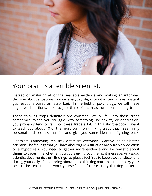

# Your brain is a terrible scientist.

Instead of analyzing all of the available evidence and making an informed decision about situations in your everyday life, often it instead makes instant gut reactions based on faulty logic. In the field of psychology, we call these cognitive distortions. I like to just think of them as common thinking traps.

These thinking traps definitely are common. We all fall into these traps sometimes. When you struggle with something like anxiety or depression, you probably tend to fall into these traps a lot. In this short e-book, I want to teach you about 10 of the most common thinking traps that I see in my personal and professional life and give you some ideas for fighting back.

Optimism is annoying. Realism > optimism, everyday. I want you to be a better scientist. The feelings that you have about a given situation are purely a prediction or a hypothesis. You need to gather more evidence and be realistic about things to determine whether you gut is giving you the right message. Any good scientist documents their findings, so please feel free to keep track of situations during your daily life that bring about these thinking patterns and then try your best to be realistic and work yourself out of these sticky thinking patterns.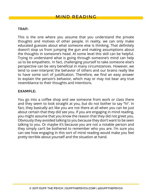This is the one where you assume that you understand the private thoughts and motives of other people. In reality, we can only make educated guesses about what someone else is thinking. That definitely doesn't stop us from jumping the gun and making assumptions about the thoughts in someone's head. At some level this skill can be helpful. Trying to understand what is going through someone's mind can help us to be empathetic. In fact, challenging yourself to take someone else's perspective can be very beneficial in many circumstances. However, we tend to over-interpret the behavior of others and our brains really like to have some sort of justification. Therefore, we find an easy answer to explain the person's behavior, which may or may not bear any true resemblance to their thoughts and intentions.

#### EXAMPLE:

You go into a coffee shop and see someone from work or class there and they seem to look straight at you, but do not bother to say "hi". In fact, they basically act like you are not there at all when you can be just about certain that they did see you. If you are engaging in mind reading, you might assume that you know the reason that they did not greet you. Obviously they avoided talking to you because they don't want to be seen talking to you. Or maybe it's because you are not a notable person and they simply can't be bothered to remember who you are. I'm sure you can see how engaging in this sort of mind reading would make you feel pretty terrible about yourself and the situation at hand.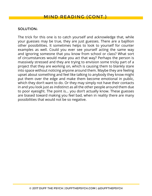The trick for this one is to catch yourself and acknowledge that, while your guesses may be true, they are just guesses. There are a bajillion other possibilities. It sometimes helps to look to yourself for counter examples as well. Could you ever see yourself acting the same way and ignoring someone that you know from school or class? What sort of circumstances would make you act that way? Perhaps the person is massively stressed and they are trying to envision some tricky part of a project that they are working on, which is causing them to blankly stare into space without noticing anyone around them. Maybe they are feeling upset about something and feel like talking to anybody they know might put them over the edge and make them become emotional in public, which they don't want to do. Or they may simply not have their contacts in and you look just as indistinct as all the other people around them due to poor eyesight. The point is... you don't actually know. These guesses are biased toward making you feel bad, when in reality there are many possibilities that would not be so negative.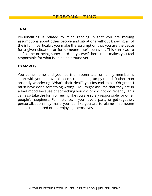Personalizing is related to mind reading in that you are making assumptions about other people and situations without knowing all of the info. In particular, you make the assumption that you are the cause for a given situation or for someone else's behavior. This can lead to self-blame or being super hard on yourself, because it makes you feel responsible for what is going on around you.

#### EXAMPLE:

You come home and your partner, roommate, or family member is short with you and overall seems to be in a grumpy mood. Rather than absently wondering "What's their deal?" you instead think "Oh great. I must have done something wrong." You might assume that they are in a bad mood because of something you did or did not do recently. This can also take the form of feeling like you are solely responsible for other people's happiness. For instance, if you have a party or get-together, personalization may make you feel like you are to blame if someone seems to be bored or not enjoying themselves.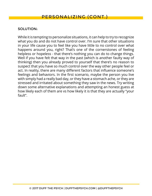While it is tempting to personalize situations, it can help to try to recognize what you do and do not have control over. I'm sure that other situations in your life cause you to feel like you have little to no control over what happens around you, right? That's one of the cornerstones of feeling helpless or hopeless - that there's nothing you can do to change things. Well if you have felt that way in the past (which is another faulty way of thinking) then you already proved to yourself that there's no reason to suspect that you have so much control over the way other people feel or act. In reality, there are many different factors that influence someone's feelings and behaviors. In the first scenario, maybe the person you live with simply had a really bad day, or they have a stomach ache, or they are stressed and irritated about something they saw in the news. Try writing down some alternative explanations and attempting an honest guess at how likely each of them are vs how likely it is that they are actually "your fault".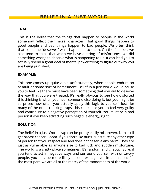This is the belief that the things that happen to people in the world somehow reflect their moral character. That good things happen to good people and bad things happen to bad people. We often think that someone "deserves" what happened to them. On the flip side, we also tend to think that when we have a string of misfortunes, we did something wrong to deserve what is happening to us. It can lead you to actually spend a great deal of mental power trying to figure out why you are being punished.

# EXAMPLE:

This one comes up quite a bit, unfortunately, when people endure an assault or some sort of harassment. Belief in a just world would cause you to feel like there must have been something that you did to deserve the way that you were treated. It's really obvious to see how distorted this thinking is when you hear someone else doing it, but you might be surprised how often you actually apply this logic to yourself. Just like many of the other thinking traps, this can cause you to feel very guilty and contribute to a negative perception of yourself. You must be a bad person if you keep attracting such negative energy, right?

## SOLUTION:

The Belief in a Just World trap can be pretty easily misproven. Nuns still get breast cancer. Boom. If you don't like nuns, substitute any other type of person that you respect and feel does not deserve any harm. They are just as vulnerable as anyone else to bad luck and sudden misfortune. The world is a shitty place sometimes. It's random and chaotic. Sure, if you tend to act in negative ways and surround yourself with unsavory people, you may be more likely encounter negative situations, but for the most part, we are all at the mercy of the randomness of the world.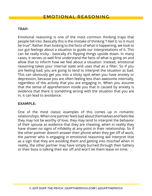Emotional reasoning is one of the most common thinking traps that people fall into. Basically this is the mistake of thinking "I feel it, so it must be true". Rather than looking to the facts of what is happening, we look to our gut feelings about a situation to guide our interpretations of it. This can be really tricky - basically it's flipping things upside down. In many cases, it serves us well first understand the facts of what is going on and allow that to inform how we feel about a situation. Instead, emotional reasoning takes your internal state and uses that as a filter. So if you are feeling bad, you are going to tend to interpret the situation as bad. This can obviously get you into a sticky spot when you have anxiety or depression, because you are often feeling less than awesome internally, regardless of the activity that you are engaging in. When you assume that the sense of apprehension inside you that is caused by anxiety is evidence that there is something wrong with the situation that you are in, it can lead to avoidance.

# EXAMPLE:

One of the most classic examples of this comes up in romantic relationships. When one partner feels bad about themselves and feels like they may not be worthy of love, they may tend to interpret the behavior of their spouse as evidence that they are cheating, when in reality they have shown no signs of infidelity at any point in their relationship. So if the other partner doesn't answer their phone when they get off of work, the partner who is engaging in emotional reasoning will interpret that as a sign that they are avoiding them and getting into mischief when in reality, the other partner may have simply burned through their battery or their boss is talking their ear off and won't let them leave on time.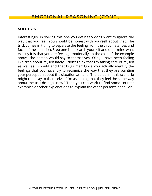Interestingly, in solving this one you definitely don't want to ignore the way that you feel. You should be honest with yourself about that. The trick comes in trying to separate the feeling from the circumstances and facts of the situation. Step one is to search yourself and determine what exactly it is that you are feeling emotionally. In the case of the example above, the person would say to themselves "Okay. I have been feeling like crap about myself lately. I don't think that I'm taking care of myself as well as I should and that bugs me." Once you actually identify the feelings that you have, try to recognize the way that they are painting your perception about the situation at hand. The person in this scenario might then say to themselves "I'm assuming that they feel the same way about me as I do right now." Then you can work to find some counter examples or other explanations to explain the other person's behavior.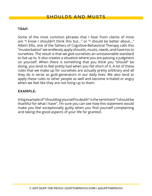Some of the most common phrases that I hear from clients of mine are "I know I shouldn't think this but..." or "I should be better about..." Albert Ellis, one of the fathers of Cognitive-Behavioral Therapy calls this "musterbation" we endlessly apply shoulds, musts, needs, and have tos to ourselves. The result is that we give ourselves an unreasonable standard to live up to. It also creates a situation where you are passing a judgment on yourself. When there is something that you think you "should" be doing, you tend to feel pretty bad when you fall short of it. A lot of these rules that we make up for ourselves are actually pretty arbitrary and all they do is serve as guilt-generators in our daily lives. We also tend to apply these rules to other people as well and become irritated or angry when we feel like they are not living up to them.

#### EXAMPLE:

A big example of "shoulding yourself to death" is the sentiment "I should be thankful for what I have". I'm sure you can see how this statement would make you feel exceptionally guilty when you find yourself complaining and taking the good aspects of your life for granted.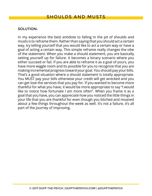In my experience the best antidote to falling in the pit of shoulds and musts is to reframe them. Rather than saying that you should act a certain way, try telling yourself that you would like to act a certain way or have a goal of acting a certain way. This simple reframe really changes the vibe of the statement. When you make a should statement, you are basically setting yourself up for failure. It becomes a binary scenario where you either succeed or fail. If you are able to reframe it as a goal of yours, you have more wiggle room and its possible for you to recognize that you are making incremental progress toward your goal. You should pay your bills. That's a good situation where a should statement is totally appropriate. You MUST pay your bills otherwise your credit will get wrecked and you can get lose the services that you pay for. If you wanted to become more thankful for what you have, it would be more appropriate to say "I would like to notice how fortunate I am more often". When you frame it as a goal that you have, you can appreciate how you noticed the little things in your life that you are thankful for even though you bitched and moaned about a few things throughout the week as well. It's not a failure, it's all part of the journey of improving.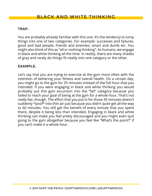You are probably already familiar with this one. It's the tendency to lump things into one of two categories. For example: successes and failures, good and bad people, friends and enemies, smart and dumb etc. You might also think of this as "all or nothing thinking". As humans, we engage in black and white thinking all the time. In reality, there are many shades of gray and rarely do things fit neatly into one category or the other.

# EXAMPLE:

Let's say that you are trying to exercise at the gym more often with the intention of bettering your fitness and overall health. On a certain day, you might go to the gym for 35 minutes instead of the full hour that you intended. If you were engaging in black and white thinking you would probably put this gym excursion into the "fail" category because you failed to reach your goal of being at the gym for a whole hour. That's not really fair, though. The effort that you put in for those 35 minutes doesn't suddenly \*poof\* into thin air just because you didn't quite get all the way to 60 minutes. You still get the benefit of every minute that you spent there, despite it being less than intended. Engaging in black and white thinking can make you feel pretty discouraged and you might even quit going to the gym altogether because you feel like "What's the point?" if you can't make it a whole hour.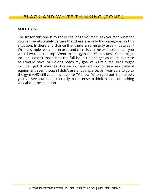The fix for this one is to really challenge yourself. Ask yourself whether you can be absolutely certain that there are only two categories in this situation. Is there any chance that there is some gray area in between? Write a simple two-column pros and cons list. In the example above, you would write at the top "Went to the gym for 35 minutes". Cons might include: I didn't make it to the full hour, I didn't get as much exercise as I would have, or I didn't reach my goal of 60 minutes. Pros might include: I got 30 minutes of cardio in, I learned how to use a new piece of equipment even though I didn't use anything else, or I was able to go to the gym AND still catch my favorite TV show. When you put it on paper, you can see how it doesn't really make sense to think in an all or nothing way about the situation.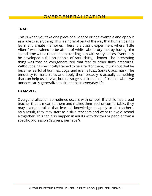This is when you take one piece of evidence or one example and apply it as a rule to everything. This is a normal part of the way that human beings learn and create memories. There is a classic experiment where "little Albert" was trained to be afraid of white laboratory rats by having him spend time with a rat and then startling him with scary noises. Eventually he developed a full on phobia of rats (shitty, I know). The interesting thing was that he overgeneralized that fear to other fluffy creatures. Without being specifically trained to be afraid of them, it turns out that he became fearful of bunnies, dogs, and even a fuzzy Santa Claus mask. The tendency to make rules and apply them broadly is actually something that can help us survive, but it also gets us into a lot of trouble when we unnecessarily generalize to situations in everyday life.

# EXAMPLE:

Overgeneralization sometimes occurs with school. If a child has a bad teacher that is mean to them and makes them feel uncomfortable, they may overgeneralize that learned knowledge to apply to all teachers. As a result, they may start to dislike teachers and want to avoid school altogether. This can also happen in adults with doctors or people from a specific profession (lawyers, perhaps?).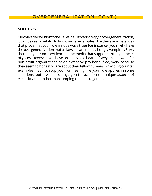Much like the solution to the Belief in a Just World trap, for overgeneralization, it can be really helpful to find counter-examples. Are there any instances that prove that your rule is not always true? For instance, you might have the overgeneralization that all lawyers are money hungry vampires. Sure, there may be some evidence in the media that supports this hypothesis of yours. However, you have probably also heard of lawyers that work for non-profit organizations or do extensive pro bono (free) work because they seem to honestly care about their fellow humans. Providing counter examples may not stop you from feeling like your rule applies in some situations, but it will encourage you to focus on the unique aspects of each situation rather than lumping them all together.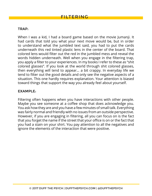When I was a kid, I had a board game based on the movie Jumanji. It had cards that told you what your next move would be, but in order to understand what the jumbled text said, you had to put the cards underneath this red tinted plastic lens in the center of the board. That colored lens would filter out the red in the jumbled mess and reveal the words hidden underneath. Well when you engage in the filtering trap, you apply a filter to your experiences. In my books I refer to these as "shit colored glasses". If you look at the world through shit colored glasses, then everything will tend to appear... a bit crappy. In everyday life we tend to filter out the good details and only see the negative aspects of a situation. This one hardly requires explanation. Your attention is biased toward things that support the way you already feel about yourself.

#### EXAMPLE:

Filtering often happens when you have interactions with other people. Maybe you see someone at a coffee shop that does acknowledge you. You ask how they are and you have a few minutes of small talk. Everything was fairly normal and friendly with no issues from an outside perspective. However, if you are engaging in filtering, all you can focus on is the fact that you forget the name if the street that your office is on or the fact that you had a stain on your shirt. You pay attention to all the negatives and ignore the elements of the interaction that were positive.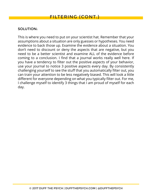This is where you need to put on your scientist hat. Remember that your assumptions about a situation are only guesses or hypotheses. You need evidence to back those up. Examine the evidence about a situation. You don't need to discount or deny the aspects that are negative, but you need to be a better scientist and examine ALL of the evidence before coming to a conclusion. I find that a journal works really well here. If you have a tendency to filter out the positive aspects of your behavior, use your journal to notice 3 positive aspects every day. By consistently challenging yourself to see the stuff that you automatically filter out, you can train your attention to be less negatively biased. This will look a little different for everyone depending on what you typically filter out. For me, I challenge myself to identify 3 things that I am proud of myself for each day.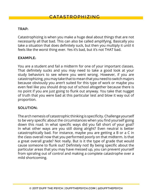Catastrophizing is when you make a huge deal about things that are not necessarily all that bad. This can also be called amplifying. Basically you take a situation that does definitely suck, but then you multiply it until it feels like the worst thing ever. Yes it's bad, but it's not THAT bad.

#### EXAMPLE:

You are a student and fail a midterm for one of your important classes. That definitely sucks and you may need to take a good look at your study behaviors to see where you went wrong. However, if you are catastrophizing, you may take that to mean that you need to switch majors because obviously you aren't suited for this type of work or maybe you even feel like you should drop out of school altogether because there is no point if you are just going to flunk out anyway. You take that nugget of truth that you were bad at this particular test and blow it way out of proportion.

## SOLUTION:

The arch nemesis of catastrophic thinking is specificity. Challenge yourself to be very specific about the circumstances when you find yourself going down this road. In what specific ways did you fall short of your goal? In what other ways are you still doing alright? Even neutral is better catastrophically bad. For instance, maybe you are getting a B or a C in the class overall now that you performed poorly on that midterm. Is that a great overall grade? Not really. But is it the type of grade that would cause someone to flunk out? Definitely not! By being specific about the particular areas that you may have messed up, you can prevent yourself from spiraling out of control and making a complete catastrophe over a mild shortcoming.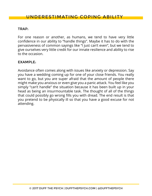# UNDERESTIMATING COPING ABILITY

## TRAP:

For one reason or another, as humans, we tend to have very little confidence in our ability to "handle things". Maybe it has to do with the pervasiveness of common sayings like "I just can't even", but we tend to give ourselves very little credit for our innate resilience and ability to rise to the occasion.

#### EXAMPLE:

Avoidance often comes along with issues like anxiety or depression. Say you have a wedding coming up for one of your close friends. You really want to go, but you are super afraid that the amount of people there might make you anxious or even give you a panic attack. You feel like you simply "can't handle" the situation because it has been built up in your head as being an insurmountable task. The thought of all of the things that could possibly go wrong fills you with dread. The end result is that you pretend to be physically ill so that you have a good excuse for not attending.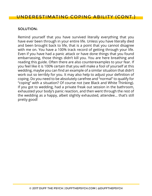# UNDERESTIMATING COPING ABILITY (CONT.)

#### SOLUTION:

Remind yourself that you have survived literally everything that you have ever been through in your entire life. Unless you have literally died and been brought back to life, that is a point that you cannot disagree with me on. You have a 100% track record of getting through your life. Even if you have had a panic attack or have done things that you found embarrassing, those things didn't kill you. You are here breathing and reading this guide. Often there are also counterexamples to your fear. If you feel like it is 100% certain that you will make a fool of yourself at this wedding, maybe you can find an example of a similar situation that didn't work out so terribly for you. It may also help to adjust your definition of coping. Do you need to be absolutely carefree and "normal" to qualify for "coping" with a situation? Of course not (see Black and White Thinking). If you got to wedding, had a private freak out session in the bathroom, exhausted your body's panic reaction, and then went through the rest of the wedding as a happy, albeit slightly exhausted, attendee... that's still pretty good!